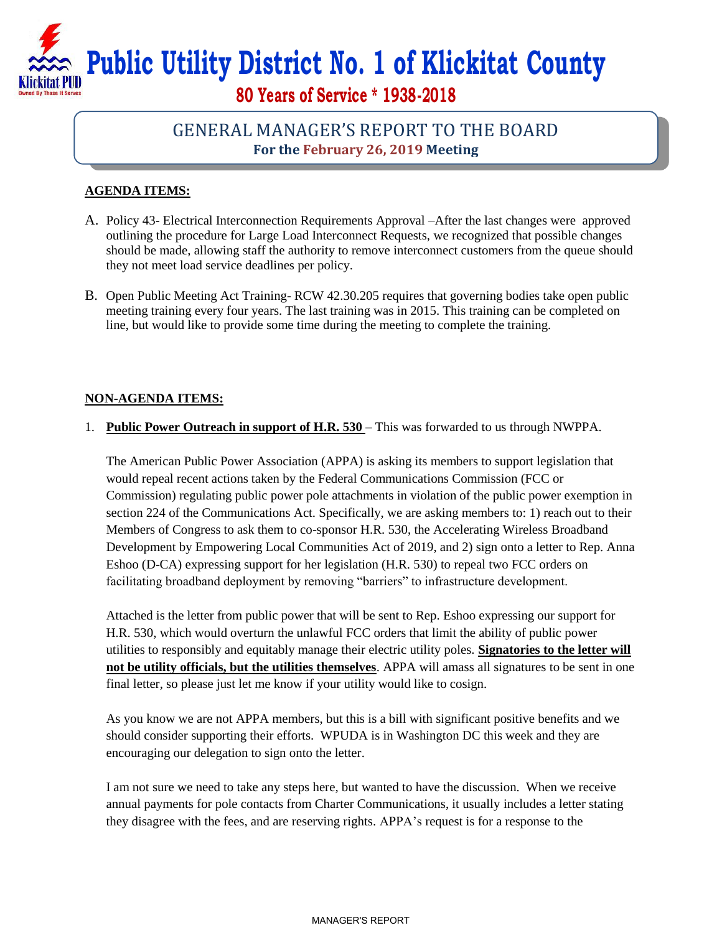**Public Utility District No. 1 of Klickitat County** 

**80 Years of Service \* 1938-2018**

## GENERAL MANAGER'S REPORT TO THE BOARD **For the February 26, 2019 Meeting**

## **AGENDA ITEMS:**

- A. Policy 43- Electrical Interconnection Requirements Approval *–*After the last changes were approved outlining the procedure for Large Load Interconnect Requests, we recognized that possible changes should be made, allowing staff the authority to remove interconnect customers from the queue should they not meet load service deadlines per policy.
- B. Open Public Meeting Act Training- RCW 42.30.205 requires that governing bodies take open public meeting training every four years. The last training was in 2015. This training can be completed on line, but would like to provide some time during the meeting to complete the training.

## **NON-AGENDA ITEMS:**

1. **Public Power Outreach in support of H.R. 530** – This was forwarded to us through NWPPA.

The American Public Power Association (APPA) is asking its members to support legislation that would repeal recent actions taken by the Federal Communications Commission (FCC or Commission) regulating public power pole attachments in violation of the public power exemption in section 224 of the Communications Act. Specifically, we are asking members to: 1) reach out to their Members of Congress to ask them to co-sponsor H.R. 530, the Accelerating Wireless Broadband Development by Empowering Local Communities Act of 2019, and 2) sign onto a letter to Rep. Anna Eshoo (D-CA) expressing support for her legislation (H.R. 530) to repeal two FCC orders on facilitating broadband deployment by removing "barriers" to infrastructure development.

Attached is the letter from public power that will be sent to Rep. Eshoo expressing our support for H.R. 530, which would overturn the unlawful FCC orders that limit the ability of public power utilities to responsibly and equitably manage their electric utility poles. **Signatories to the letter will not be utility officials, but the utilities themselves**. APPA will amass all signatures to be sent in one final letter, so please just let me know if your utility would like to cosign.

As you know we are not APPA members, but this is a bill with significant positive benefits and we should consider supporting their efforts. WPUDA is in Washington DC this week and they are encouraging our delegation to sign onto the letter.

I am not sure we need to take any steps here, but wanted to have the discussion. When we receive annual payments for pole contacts from Charter Communications, it usually includes a letter stating they disagree with the fees, and are reserving rights. APPA's request is for a response to the